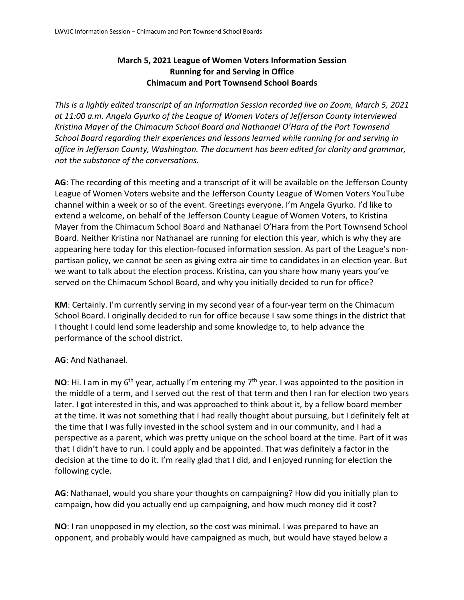## **March 5, 2021 League of Women Voters Information Session Running for and Serving in Office Chimacum and Port Townsend School Boards**

*This is a lightly edited transcript of an Information Session recorded live on Zoom, March 5, 2021 at 11:00 a.m. Angela Gyurko of the League of Women Voters of Jefferson County interviewed Kristina Mayer of the Chimacum School Board and Nathanael O'Hara of the Port Townsend School Board regarding their experiences and lessons learned while running for and serving in office in Jefferson County, Washington. The document has been edited for clarity and grammar, not the substance of the conversations.* 

**AG**: The recording of this meeting and a transcript of it will be available on the Jefferson County League of Women Voters website and the Jefferson County League of Women Voters YouTube channel within a week or so of the event. Greetings everyone. I'm Angela Gyurko. I'd like to extend a welcome, on behalf of the Jefferson County League of Women Voters, to Kristina Mayer from the Chimacum School Board and Nathanael O'Hara from the Port Townsend School Board. Neither Kristina nor Nathanael are running for election this year, which is why they are appearing here today for this election-focused information session. As part of the League's nonpartisan policy, we cannot be seen as giving extra air time to candidates in an election year. But we want to talk about the election process. Kristina, can you share how many years you've served on the Chimacum School Board, and why you initially decided to run for office?

**KM**: Certainly. I'm currently serving in my second year of a four-year term on the Chimacum School Board. I originally decided to run for office because I saw some things in the district that I thought I could lend some leadership and some knowledge to, to help advance the performance of the school district.

## **AG**: And Nathanael.

**NO**: Hi. I am in my 6<sup>th</sup> year, actually I'm entering my 7<sup>th</sup> year. I was appointed to the position in the middle of a term, and I served out the rest of that term and then I ran for election two years later. I got interested in this, and was approached to think about it, by a fellow board member at the time. It was not something that I had really thought about pursuing, but I definitely felt at the time that I was fully invested in the school system and in our community, and I had a perspective as a parent, which was pretty unique on the school board at the time. Part of it was that I didn't have to run. I could apply and be appointed. That was definitely a factor in the decision at the time to do it. I'm really glad that I did, and I enjoyed running for election the following cycle.

**AG**: Nathanael, would you share your thoughts on campaigning? How did you initially plan to campaign, how did you actually end up campaigning, and how much money did it cost?

**NO**: I ran unopposed in my election, so the cost was minimal. I was prepared to have an opponent, and probably would have campaigned as much, but would have stayed below a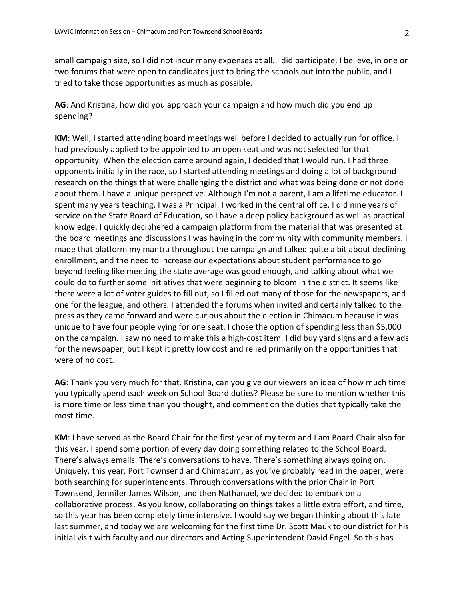small campaign size, so I did not incur many expenses at all. I did participate, I believe, in one or two forums that were open to candidates just to bring the schools out into the public, and I tried to take those opportunities as much as possible.

**AG**: And Kristina, how did you approach your campaign and how much did you end up spending?

**KM**: Well, I started attending board meetings well before I decided to actually run for office. I had previously applied to be appointed to an open seat and was not selected for that opportunity. When the election came around again, I decided that I would run. I had three opponents initially in the race, so I started attending meetings and doing a lot of background research on the things that were challenging the district and what was being done or not done about them. I have a unique perspective. Although I'm not a parent, I am a lifetime educator. I spent many years teaching. I was a Principal. I worked in the central office. I did nine years of service on the State Board of Education, so I have a deep policy background as well as practical knowledge. I quickly deciphered a campaign platform from the material that was presented at the board meetings and discussions I was having in the community with community members. I made that platform my mantra throughout the campaign and talked quite a bit about declining enrollment, and the need to increase our expectations about student performance to go beyond feeling like meeting the state average was good enough, and talking about what we could do to further some initiatives that were beginning to bloom in the district. It seems like there were a lot of voter guides to fill out, so I filled out many of those for the newspapers, and one for the league, and others. I attended the forums when invited and certainly talked to the press as they came forward and were curious about the election in Chimacum because it was unique to have four people vying for one seat. I chose the option of spending less than \$5,000 on the campaign. I saw no need to make this a high-cost item. I did buy yard signs and a few ads for the newspaper, but I kept it pretty low cost and relied primarily on the opportunities that were of no cost.

**AG**: Thank you very much for that. Kristina, can you give our viewers an idea of how much time you typically spend each week on School Board duties? Please be sure to mention whether this is more time or less time than you thought, and comment on the duties that typically take the most time.

**KM**: I have served as the Board Chair for the first year of my term and I am Board Chair also for this year. I spend some portion of every day doing something related to the School Board. There's always emails. There's conversations to have. There's something always going on. Uniquely, this year, Port Townsend and Chimacum, as you've probably read in the paper, were both searching for superintendents. Through conversations with the prior Chair in Port Townsend, Jennifer James Wilson, and then Nathanael, we decided to embark on a collaborative process. As you know, collaborating on things takes a little extra effort, and time, so this year has been completely time intensive. I would say we began thinking about this late last summer, and today we are welcoming for the first time Dr. Scott Mauk to our district for his initial visit with faculty and our directors and Acting Superintendent David Engel. So this has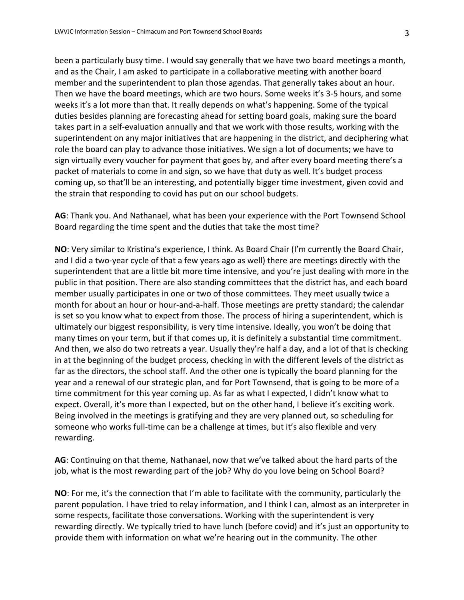been a particularly busy time. I would say generally that we have two board meetings a month, and as the Chair, I am asked to participate in a collaborative meeting with another board member and the superintendent to plan those agendas. That generally takes about an hour. Then we have the board meetings, which are two hours. Some weeks it's 3-5 hours, and some weeks it's a lot more than that. It really depends on what's happening. Some of the typical duties besides planning are forecasting ahead for setting board goals, making sure the board takes part in a self-evaluation annually and that we work with those results, working with the superintendent on any major initiatives that are happening in the district, and deciphering what role the board can play to advance those initiatives. We sign a lot of documents; we have to sign virtually every voucher for payment that goes by, and after every board meeting there's a packet of materials to come in and sign, so we have that duty as well. It's budget process coming up, so that'll be an interesting, and potentially bigger time investment, given covid and the strain that responding to covid has put on our school budgets.

**AG**: Thank you. And Nathanael, what has been your experience with the Port Townsend School Board regarding the time spent and the duties that take the most time?

**NO**: Very similar to Kristina's experience, I think. As Board Chair (I'm currently the Board Chair, and I did a two-year cycle of that a few years ago as well) there are meetings directly with the superintendent that are a little bit more time intensive, and you're just dealing with more in the public in that position. There are also standing committees that the district has, and each board member usually participates in one or two of those committees. They meet usually twice a month for about an hour or hour-and-a-half. Those meetings are pretty standard; the calendar is set so you know what to expect from those. The process of hiring a superintendent, which is ultimately our biggest responsibility, is very time intensive. Ideally, you won't be doing that many times on your term, but if that comes up, it is definitely a substantial time commitment. And then, we also do two retreats a year. Usually they're half a day, and a lot of that is checking in at the beginning of the budget process, checking in with the different levels of the district as far as the directors, the school staff. And the other one is typically the board planning for the year and a renewal of our strategic plan, and for Port Townsend, that is going to be more of a time commitment for this year coming up. As far as what I expected, I didn't know what to expect. Overall, it's more than I expected, but on the other hand, I believe it's exciting work. Being involved in the meetings is gratifying and they are very planned out, so scheduling for someone who works full-time can be a challenge at times, but it's also flexible and very rewarding.

**AG**: Continuing on that theme, Nathanael, now that we've talked about the hard parts of the job, what is the most rewarding part of the job? Why do you love being on School Board?

**NO**: For me, it's the connection that I'm able to facilitate with the community, particularly the parent population. I have tried to relay information, and I think I can, almost as an interpreter in some respects, facilitate those conversations. Working with the superintendent is very rewarding directly. We typically tried to have lunch (before covid) and it's just an opportunity to provide them with information on what we're hearing out in the community. The other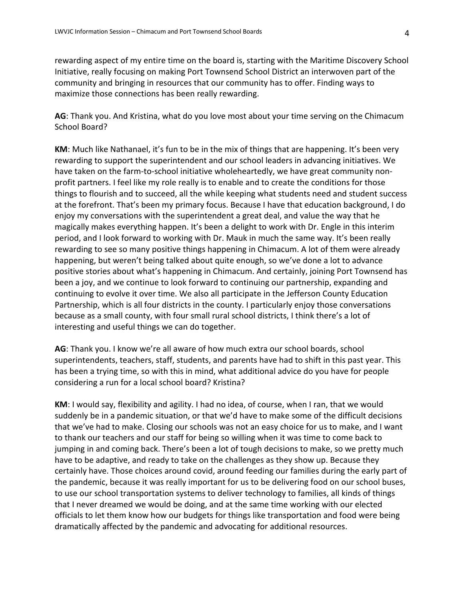rewarding aspect of my entire time on the board is, starting with the Maritime Discovery School Initiative, really focusing on making Port Townsend School District an interwoven part of the community and bringing in resources that our community has to offer. Finding ways to maximize those connections has been really rewarding.

**AG**: Thank you. And Kristina, what do you love most about your time serving on the Chimacum School Board?

**KM**: Much like Nathanael, it's fun to be in the mix of things that are happening. It's been very rewarding to support the superintendent and our school leaders in advancing initiatives. We have taken on the farm-to-school initiative wholeheartedly, we have great community nonprofit partners. I feel like my role really is to enable and to create the conditions for those things to flourish and to succeed, all the while keeping what students need and student success at the forefront. That's been my primary focus. Because I have that education background, I do enjoy my conversations with the superintendent a great deal, and value the way that he magically makes everything happen. It's been a delight to work with Dr. Engle in this interim period, and I look forward to working with Dr. Mauk in much the same way. It's been really rewarding to see so many positive things happening in Chimacum. A lot of them were already happening, but weren't being talked about quite enough, so we've done a lot to advance positive stories about what's happening in Chimacum. And certainly, joining Port Townsend has been a joy, and we continue to look forward to continuing our partnership, expanding and continuing to evolve it over time. We also all participate in the Jefferson County Education Partnership, which is all four districts in the county. I particularly enjoy those conversations because as a small county, with four small rural school districts, I think there's a lot of interesting and useful things we can do together.

**AG**: Thank you. I know we're all aware of how much extra our school boards, school superintendents, teachers, staff, students, and parents have had to shift in this past year. This has been a trying time, so with this in mind, what additional advice do you have for people considering a run for a local school board? Kristina?

**KM**: I would say, flexibility and agility. I had no idea, of course, when I ran, that we would suddenly be in a pandemic situation, or that we'd have to make some of the difficult decisions that we've had to make. Closing our schools was not an easy choice for us to make, and I want to thank our teachers and our staff for being so willing when it was time to come back to jumping in and coming back. There's been a lot of tough decisions to make, so we pretty much have to be adaptive, and ready to take on the challenges as they show up. Because they certainly have. Those choices around covid, around feeding our families during the early part of the pandemic, because it was really important for us to be delivering food on our school buses, to use our school transportation systems to deliver technology to families, all kinds of things that I never dreamed we would be doing, and at the same time working with our elected officials to let them know how our budgets for things like transportation and food were being dramatically affected by the pandemic and advocating for additional resources.